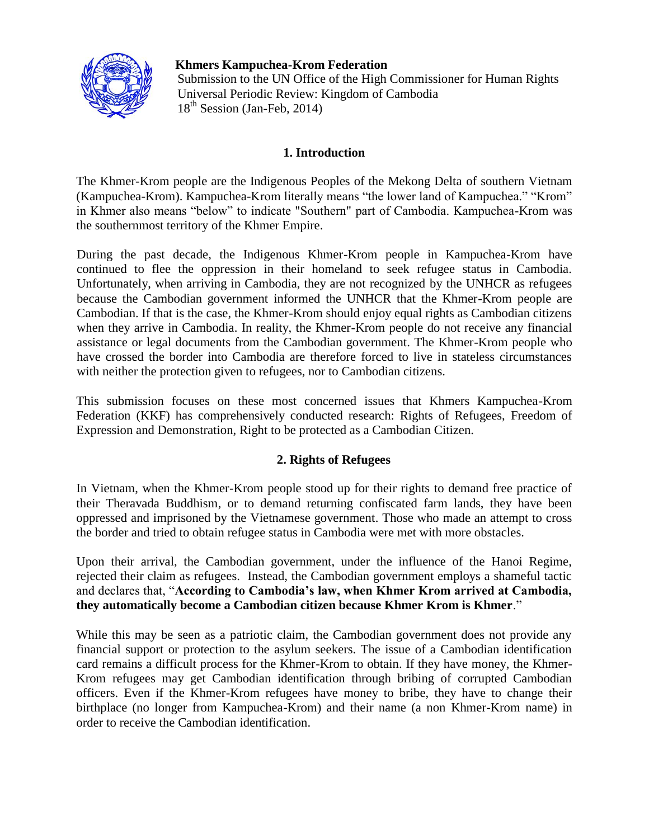

 **Khmers Kampuchea-Krom Federation**  Submission to the UN Office of the High Commissioner for Human Rights Universal Periodic Review: Kingdom of Cambodia  $18<sup>th</sup>$  Session (Jan-Feb, 2014)

## **1. Introduction**

The Khmer-Krom people are the Indigenous Peoples of the Mekong Delta of southern Vietnam (Kampuchea-Krom). Kampuchea-Krom literally means "the lower land of Kampuchea." "Krom" in Khmer also means "below" to indicate "Southern" part of Cambodia. Kampuchea-Krom was the southernmost territory of the Khmer Empire.

During the past decade, the Indigenous Khmer-Krom people in Kampuchea-Krom have continued to flee the oppression in their homeland to seek refugee status in Cambodia. Unfortunately, when arriving in Cambodia, they are not recognized by the UNHCR as refugees because the Cambodian government informed the UNHCR that the Khmer-Krom people are Cambodian. If that is the case, the Khmer-Krom should enjoy equal rights as Cambodian citizens when they arrive in Cambodia. In reality, the Khmer-Krom people do not receive any financial assistance or legal documents from the Cambodian government. The Khmer-Krom people who have crossed the border into Cambodia are therefore forced to live in stateless circumstances with neither the protection given to refugees, nor to Cambodian citizens.

This submission focuses on these most concerned issues that Khmers Kampuchea-Krom Federation (KKF) has comprehensively conducted research: Rights of Refugees, Freedom of Expression and Demonstration, Right to be protected as a Cambodian Citizen.

# **2. Rights of Refugees**

In Vietnam, when the Khmer-Krom people stood up for their rights to demand free practice of their Theravada Buddhism, or to demand returning confiscated farm lands, they have been oppressed and imprisoned by the Vietnamese government. Those who made an attempt to cross the border and tried to obtain refugee status in Cambodia were met with more obstacles.

Upon their arrival, the Cambodian government, under the influence of the Hanoi Regime, rejected their claim as refugees. Instead, the Cambodian government employs a shameful tactic and declares that, "**According to Cambodia's law, when Khmer Krom arrived at Cambodia, they automatically become a Cambodian citizen because Khmer Krom is Khmer**."

While this may be seen as a patriotic claim, the Cambodian government does not provide any financial support or protection to the asylum seekers. The issue of a Cambodian identification card remains a difficult process for the Khmer-Krom to obtain. If they have money, the Khmer-Krom refugees may get Cambodian identification through bribing of corrupted Cambodian officers. Even if the Khmer-Krom refugees have money to bribe, they have to change their birthplace (no longer from Kampuchea-Krom) and their name (a non Khmer-Krom name) in order to receive the Cambodian identification.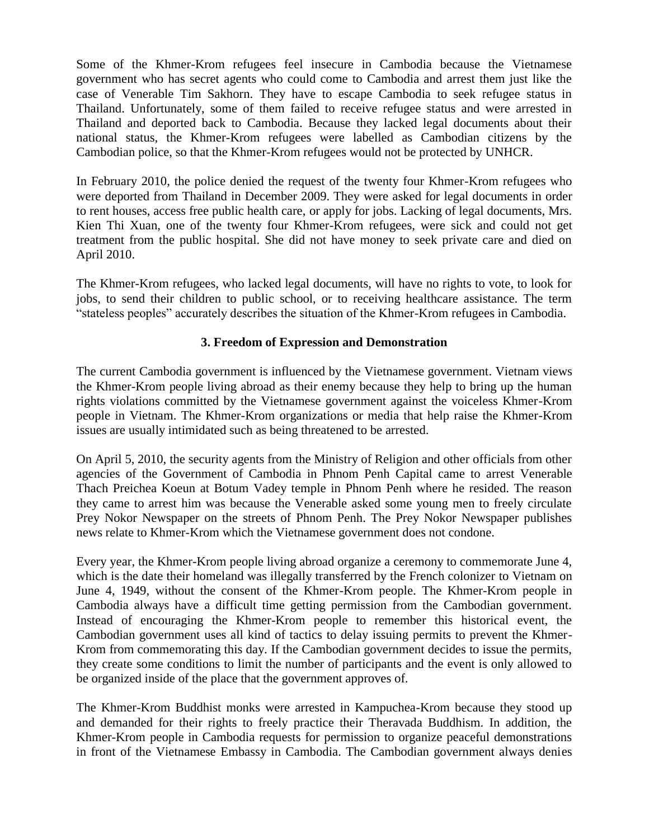Some of the Khmer-Krom refugees feel insecure in Cambodia because the Vietnamese government who has secret agents who could come to Cambodia and arrest them just like the case of Venerable Tim Sakhorn. They have to escape Cambodia to seek refugee status in Thailand. Unfortunately, some of them failed to receive refugee status and were arrested in Thailand and deported back to Cambodia. Because they lacked legal documents about their national status, the Khmer-Krom refugees were labelled as Cambodian citizens by the Cambodian police, so that the Khmer-Krom refugees would not be protected by UNHCR.

In February 2010, the police denied the request of the twenty four Khmer-Krom refugees who were deported from Thailand in December 2009. They were asked for legal documents in order to rent houses, access free public health care, or apply for jobs. Lacking of legal documents, Mrs. Kien Thi Xuan, one of the twenty four Khmer-Krom refugees, were sick and could not get treatment from the public hospital. She did not have money to seek private care and died on April 2010.

The Khmer-Krom refugees, who lacked legal documents, will have no rights to vote, to look for jobs, to send their children to public school, or to receiving healthcare assistance. The term "stateless peoples" accurately describes the situation of the Khmer-Krom refugees in Cambodia.

# **3. Freedom of Expression and Demonstration**

The current Cambodia government is influenced by the Vietnamese government. Vietnam views the Khmer-Krom people living abroad as their enemy because they help to bring up the human rights violations committed by the Vietnamese government against the voiceless Khmer-Krom people in Vietnam. The Khmer-Krom organizations or media that help raise the Khmer-Krom issues are usually intimidated such as being threatened to be arrested.

On April 5, 2010, the security agents from the Ministry of Religion and other officials from other agencies of the Government of Cambodia in Phnom Penh Capital came to arrest Venerable Thach Preichea Koeun at Botum Vadey temple in Phnom Penh where he resided. The reason they came to arrest him was because the Venerable asked some young men to freely circulate Prey Nokor Newspaper on the streets of Phnom Penh. The Prey Nokor Newspaper publishes news relate to Khmer-Krom which the Vietnamese government does not condone.

Every year, the Khmer-Krom people living abroad organize a ceremony to commemorate June 4, which is the date their homeland was illegally transferred by the French colonizer to Vietnam on June 4, 1949, without the consent of the Khmer-Krom people. The Khmer-Krom people in Cambodia always have a difficult time getting permission from the Cambodian government. Instead of encouraging the Khmer-Krom people to remember this historical event, the Cambodian government uses all kind of tactics to delay issuing permits to prevent the Khmer-Krom from commemorating this day. If the Cambodian government decides to issue the permits, they create some conditions to limit the number of participants and the event is only allowed to be organized inside of the place that the government approves of.

The Khmer-Krom Buddhist monks were arrested in Kampuchea-Krom because they stood up and demanded for their rights to freely practice their Theravada Buddhism. In addition, the Khmer-Krom people in Cambodia requests for permission to organize peaceful demonstrations in front of the Vietnamese Embassy in Cambodia. The Cambodian government always denies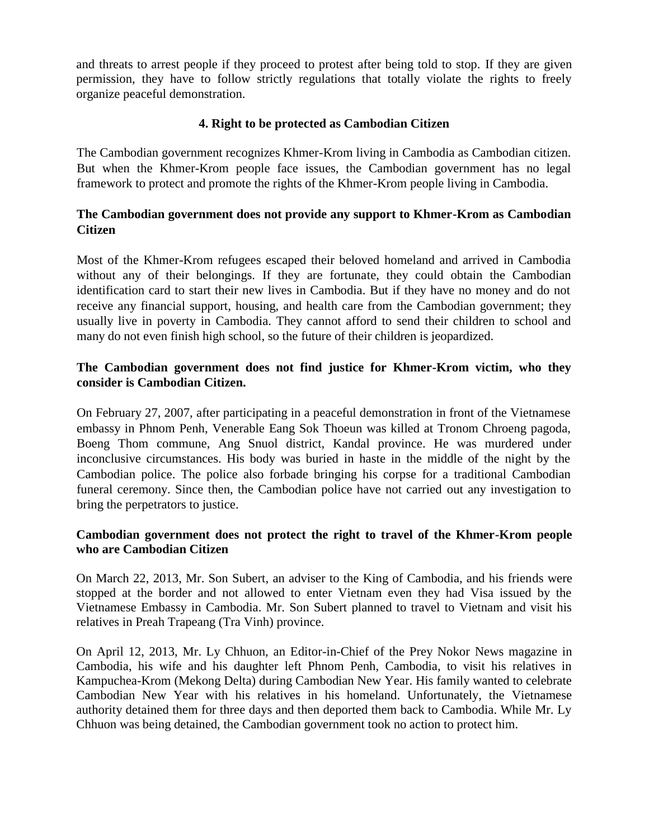and threats to arrest people if they proceed to protest after being told to stop. If they are given permission, they have to follow strictly regulations that totally violate the rights to freely organize peaceful demonstration.

## **4. Right to be protected as Cambodian Citizen**

The Cambodian government recognizes Khmer-Krom living in Cambodia as Cambodian citizen. But when the Khmer-Krom people face issues, the Cambodian government has no legal framework to protect and promote the rights of the Khmer-Krom people living in Cambodia.

# **The Cambodian government does not provide any support to Khmer-Krom as Cambodian Citizen**

Most of the Khmer-Krom refugees escaped their beloved homeland and arrived in Cambodia without any of their belongings. If they are fortunate, they could obtain the Cambodian identification card to start their new lives in Cambodia. But if they have no money and do not receive any financial support, housing, and health care from the Cambodian government; they usually live in poverty in Cambodia. They cannot afford to send their children to school and many do not even finish high school, so the future of their children is jeopardized.

# **The Cambodian government does not find justice for Khmer-Krom victim, who they consider is Cambodian Citizen.**

On February 27, 2007, after participating in a peaceful demonstration in front of the Vietnamese embassy in Phnom Penh, Venerable Eang Sok Thoeun was killed at Tronom Chroeng pagoda, Boeng Thom commune, Ang Snuol district, Kandal province. He was murdered under inconclusive circumstances. His body was buried in haste in the middle of the night by the Cambodian police. The police also forbade bringing his corpse for a traditional Cambodian funeral ceremony. Since then, the Cambodian police have not carried out any investigation to bring the perpetrators to justice.

# **Cambodian government does not protect the right to travel of the Khmer-Krom people who are Cambodian Citizen**

On March 22, 2013, Mr. Son Subert, an adviser to the King of Cambodia, and his friends were stopped at the border and not allowed to enter Vietnam even they had Visa issued by the Vietnamese Embassy in Cambodia. Mr. Son Subert planned to travel to Vietnam and visit his relatives in Preah Trapeang (Tra Vinh) province.

On April 12, 2013, Mr. Ly Chhuon, an Editor-in-Chief of the Prey Nokor News magazine in Cambodia, his wife and his daughter left Phnom Penh, Cambodia, to visit his relatives in Kampuchea-Krom (Mekong Delta) during Cambodian New Year. His family wanted to celebrate Cambodian New Year with his relatives in his homeland. Unfortunately, the Vietnamese authority detained them for three days and then deported them back to Cambodia. While Mr. Ly Chhuon was being detained, the Cambodian government took no action to protect him.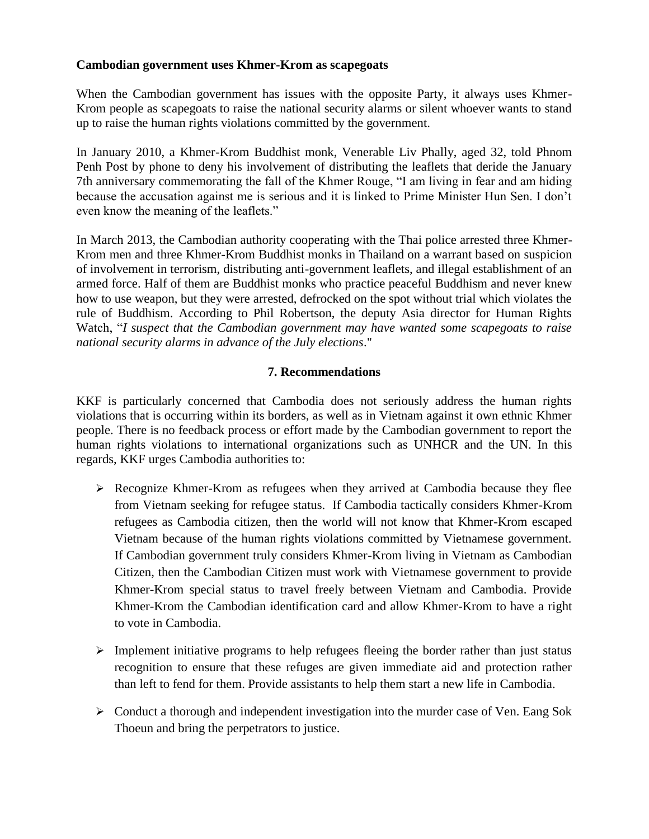#### **Cambodian government uses Khmer-Krom as scapegoats**

When the Cambodian government has issues with the opposite Party, it always uses Khmer-Krom people as scapegoats to raise the national security alarms or silent whoever wants to stand up to raise the human rights violations committed by the government.

In January 2010, a Khmer-Krom Buddhist monk, Venerable Liv Phally, aged 32, told Phnom Penh Post by phone to deny his involvement of distributing the leaflets that deride the January 7th anniversary commemorating the fall of the Khmer Rouge, "I am living in fear and am hiding because the accusation against me is serious and it is linked to Prime Minister Hun Sen. I don't even know the meaning of the leaflets."

In March 2013, the Cambodian authority cooperating with the Thai police arrested three Khmer-Krom men and three Khmer-Krom Buddhist monks in Thailand on a warrant based on suspicion of involvement in terrorism, distributing anti-government leaflets, and illegal establishment of an armed force. Half of them are Buddhist monks who practice peaceful Buddhism and never knew how to use weapon, but they were arrested, defrocked on the spot without trial which violates the rule of Buddhism. According to Phil Robertson, the deputy Asia director for Human Rights Watch, "*I suspect that the Cambodian government may have wanted some scapegoats to raise national security alarms in advance of the July elections*."

## **7. Recommendations**

KKF is particularly concerned that Cambodia does not seriously address the human rights violations that is occurring within its borders, as well as in Vietnam against it own ethnic Khmer people. There is no feedback process or effort made by the Cambodian government to report the human rights violations to international organizations such as UNHCR and the UN. In this regards, KKF urges Cambodia authorities to:

- $\triangleright$  Recognize Khmer-Krom as refugees when they arrived at Cambodia because they flee from Vietnam seeking for refugee status. If Cambodia tactically considers Khmer-Krom refugees as Cambodia citizen, then the world will not know that Khmer-Krom escaped Vietnam because of the human rights violations committed by Vietnamese government. If Cambodian government truly considers Khmer-Krom living in Vietnam as Cambodian Citizen, then the Cambodian Citizen must work with Vietnamese government to provide Khmer-Krom special status to travel freely between Vietnam and Cambodia. Provide Khmer-Krom the Cambodian identification card and allow Khmer-Krom to have a right to vote in Cambodia.
- $\triangleright$  Implement initiative programs to help refugees fleeing the border rather than just status recognition to ensure that these refuges are given immediate aid and protection rather than left to fend for them. Provide assistants to help them start a new life in Cambodia.
- $\triangleright$  Conduct a thorough and independent investigation into the murder case of Ven. Eang Sok Thoeun and bring the perpetrators to justice.